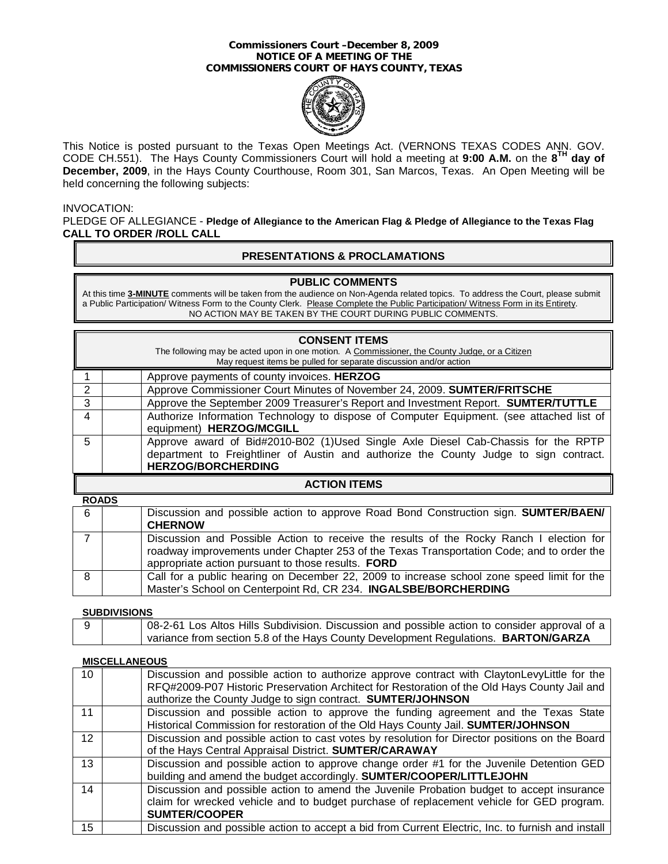#### Commissioners Court –December 8, 2009 NOTICE OF A MEETING OF THE COMMISSIONERS COURT OF HAYS COUNTY, TEXAS



This Notice is posted pursuant to the Texas Open Meetings Act. (VERNONS TEXAS CODES ANN. GOV. CODE CH.551). The Hays County Commissioners Court will hold a meeting at **9:00 A.M.** on the **8TH day of December, 2009**, in the Hays County Courthouse, Room 301, San Marcos, Texas. An Open Meeting will be held concerning the following subjects:

### INVOCATION:

PLEDGE OF ALLEGIANCE - **Pledge of Allegiance to the American Flag & Pledge of Allegiance to the Texas Flag CALL TO ORDER /ROLL CALL**

# **PRESENTATIONS & PROCLAMATIONS**

## **PUBLIC COMMENTS**

At this time **3-MINUTE** comments will be taken from the audience on Non-Agenda related topics. To address the Court, please submit a Public Participation/ Witness Form to the County Clerk. Please Complete the Public Participation/ Witness Form in its Entirety. NO ACTION MAY BE TAKEN BY THE COURT DURING PUBLIC COMMENTS.

| <b>CONSENT ITEMS</b> |  |
|----------------------|--|
|----------------------|--|

|                                                                   | The following may be acted upon in one motion. A Commissioner, the County Judge, or a Citizen |
|-------------------------------------------------------------------|-----------------------------------------------------------------------------------------------|
| May request items be pulled for separate discussion and/or action |                                                                                               |

|                | Approve payments of county invoices. HERZOG                                                                                                                                                             |
|----------------|---------------------------------------------------------------------------------------------------------------------------------------------------------------------------------------------------------|
| 2              | Approve Commissioner Court Minutes of November 24, 2009. SUMTER/FRITSCHE                                                                                                                                |
| 3              | Approve the September 2009 Treasurer's Report and Investment Report. SUMTER/TUTTLE                                                                                                                      |
| $\overline{4}$ | Authorize Information Technology to dispose of Computer Equipment. (see attached list of<br>equipment) HERZOG/MCGILL                                                                                    |
| 5.             | Approve award of Bid#2010-B02 (1)Used Single Axle Diesel Cab-Chassis for the RPTP<br>department to Freightliner of Austin and authorize the County Judge to sign contract.<br><b>HERZOG/BORCHERDING</b> |

## **ACTION ITEMS**

| <b>ROADS</b> |                                                                                                                                                                                                                                            |
|--------------|--------------------------------------------------------------------------------------------------------------------------------------------------------------------------------------------------------------------------------------------|
| 6            | Discussion and possible action to approve Road Bond Construction sign. <b>SUMTER/BAEN/</b><br><b>CHERNOW</b>                                                                                                                               |
|              | Discussion and Possible Action to receive the results of the Rocky Ranch I election for<br>roadway improvements under Chapter 253 of the Texas Transportation Code; and to order the<br>appropriate action pursuant to those results. FORD |
| 8            | Call for a public hearing on December 22, 2009 to increase school zone speed limit for the<br>Master's School on Centerpoint Rd, CR 234. INGALSBE/BORCHERDING                                                                              |

#### **SUBDIVISIONS**

|  | 08-2-61 Los Altos Hills Subdivision. Discussion and possible action to consider approval of a |
|--|-----------------------------------------------------------------------------------------------|
|  | variance from section 5.8 of the Hays County Development Regulations. BARTON/GARZA            |

#### **MISCELLANEOUS**

| 10 <sup>1</sup> | Discussion and possible action to authorize approve contract with ClaytonLevyLittle for the<br>RFQ#2009-P07 Historic Preservation Architect for Restoration of the Old Hays County Jail and<br>authorize the County Judge to sign contract. SUMTER/JOHNSON |
|-----------------|------------------------------------------------------------------------------------------------------------------------------------------------------------------------------------------------------------------------------------------------------------|
| 11              | Discussion and possible action to approve the funding agreement and the Texas State<br>Historical Commission for restoration of the Old Hays County Jail. SUMTER/JOHNSON                                                                                   |
| 12 <sup>2</sup> | Discussion and possible action to cast votes by resolution for Director positions on the Board<br>of the Hays Central Appraisal District. SUMTER/CARAWAY                                                                                                   |
| 13              | Discussion and possible action to approve change order #1 for the Juvenile Detention GED<br>building and amend the budget accordingly. SUMTER/COOPER/LITTLEJOHN                                                                                            |
| 14              | Discussion and possible action to amend the Juvenile Probation budget to accept insurance<br>claim for wrecked vehicle and to budget purchase of replacement vehicle for GED program.<br><b>SUMTER/COOPER</b>                                              |
| 15              | Discussion and possible action to accept a bid from Current Electric, Inc. to furnish and install                                                                                                                                                          |